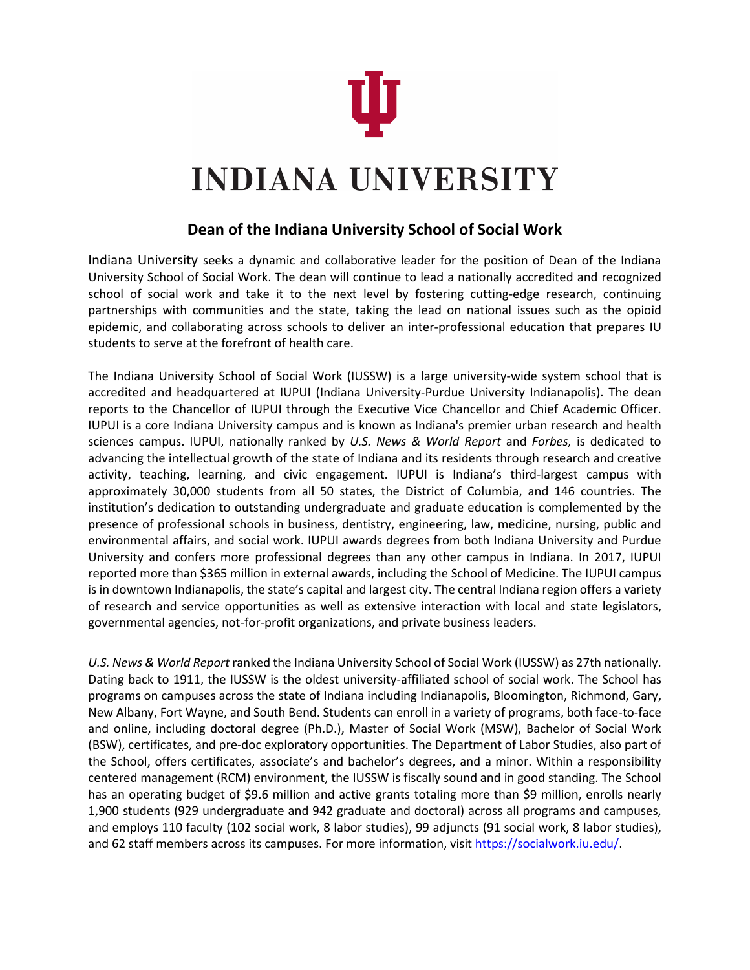

## **INDIANA UNIVERSITY**

## **Dean of the Indiana University School of Social Work**

Indiana University seeks a dynamic and collaborative leader for the position of Dean of the Indiana University School of Social Work. The dean will continue to lead a nationally accredited and recognized school of social work and take it to the next level by fostering cutting-edge research, continuing partnerships with communities and the state, taking the lead on national issues such as the opioid epidemic, and collaborating across schools to deliver an inter-professional education that prepares IU students to serve at the forefront of health care.

The Indiana University School of Social Work (IUSSW) is a large university-wide system school that is accredited and headquartered at IUPUI (Indiana University-Purdue University Indianapolis). The dean reports to the Chancellor of IUPUI through the Executive Vice Chancellor and Chief Academic Officer. IUPUI is a core Indiana University campus and is known as Indiana's premier urban research and health sciences campus. IUPUI, nationally ranked by *U.S. News & World Report* and *Forbes,* is dedicated to advancing the intellectual growth of the state of Indiana and its residents through research and creative activity, teaching, learning, and civic engagement. IUPUI is Indiana's third-largest campus with approximately 30,000 students from all 50 states, the District of Columbia, and 146 countries. The institution's dedication to outstanding undergraduate and graduate education is complemented by the presence of professional schools in business, dentistry, engineering, law, medicine, nursing, public and environmental affairs, and social work. IUPUI awards degrees from both Indiana University and Purdue University and confers more professional degrees than any other campus in Indiana. In 2017, IUPUI reported more than \$365 million in external awards, including the School of Medicine. The IUPUI campus is in downtown Indianapolis, the state's capital and largest city. The central Indiana region offers a variety of research and service opportunities as well as extensive interaction with local and state legislators, governmental agencies, not-for-profit organizations, and private business leaders.

*U.S. News & World Report* ranked the Indiana University School of Social Work (IUSSW) as 27th nationally. Dating back to 1911, the IUSSW is the oldest university-affiliated school of social work. The School has programs on campuses across the state of Indiana including Indianapolis, Bloomington, Richmond, Gary, New Albany, Fort Wayne, and South Bend. Students can enroll in a variety of programs, both face-to-face and online, including doctoral degree (Ph.D.), Master of Social Work (MSW), Bachelor of Social Work (BSW), certificates, and pre-doc exploratory opportunities. The Department of Labor Studies, also part of the School, offers certificates, associate's and bachelor's degrees, and a minor. Within a responsibility centered management (RCM) environment, the IUSSW is fiscally sound and in good standing. The School has an operating budget of \$9.6 million and active grants totaling more than \$9 million, enrolls nearly 1,900 students (929 undergraduate and 942 graduate and doctoral) across all programs and campuses, and employs 110 faculty (102 social work, 8 labor studies), 99 adjuncts (91 social work, 8 labor studies), and 62 staff members across its campuses. For more information, visit [https://socialwork.iu.edu/.](https://socialwork.iu.edu/)